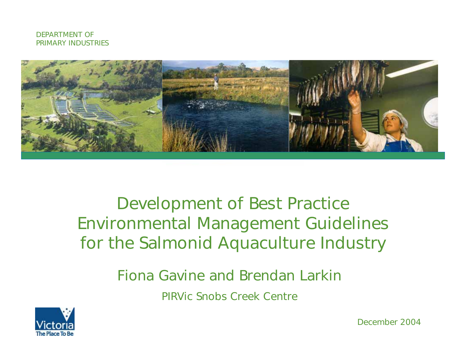



#### Development of Best Practice Environmental Management Guidelines for the Salmonid Aquaculture Industry

Fiona Gavine and Brendan Larkin

PIRVic Snobs Creek Centre



December 2004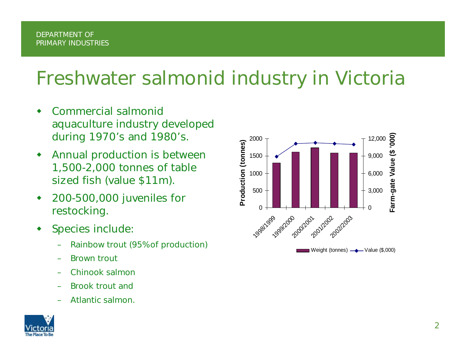## Freshwater salmonid industry in Victoria

- ◆ Commercial salmonid aquaculture industry developed during 1970's and 1980's.
- ◆ Annual production is between 1,500-2,000 tonnes of table sized fish (value \$11m).
- ◆ 200-500,000 juveniles for restocking.
- ◆ Species include:
	- Rainbow trout (95% of production)
	- Brown trout
	- Chinook salmon
	- –Brook trout and
	- –Atlantic salmon.



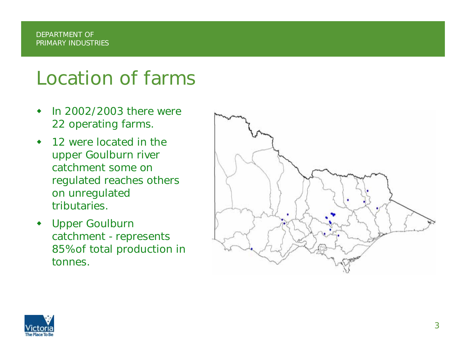### Location of farms

- ◆ In 2002/2003 there were 22 operating farms.
- ◆ 12 were located in the upper Goulburn river catchment some on regulated reaches others on unregulated tributaries.
- ۰ Upper Goulburn catchment - represents 85% of total production in tonnes.



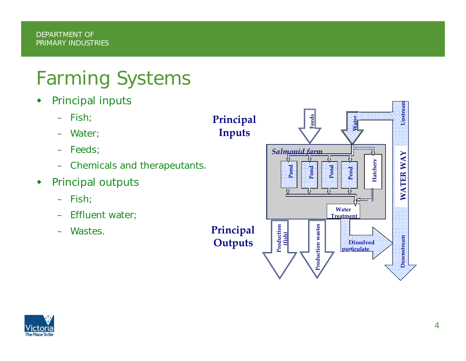# Farming Systems

- $\blacklozenge$  Principal inputs
	- – Fish; – Water; – Feeds; – Chemicals and therapeutants. Principal outputs – Fish; – Effluent water; – Wastes.**Principal Inputs Principal Pond Pond** *Salmonid farm*





 $\blacklozenge$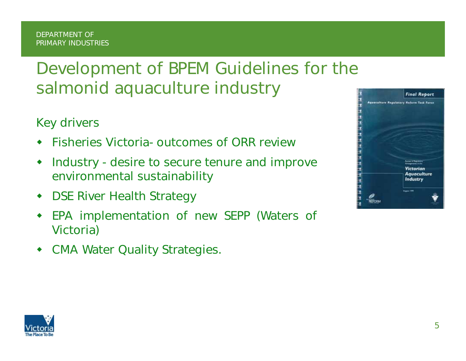### Development of BPEM Guidelines for the salmonid aquaculture industry

Key drivers

- ♦ Fisheries Victoria- outcomes of ORR review
- $\blacklozenge$  Industry - desire to secure tenure and improve environmental sustainability
- $\blacklozenge$ DSE River Health Strategy
- ♦ EPA implementation of new SEPP (Waters of Victoria)
- $\blacklozenge$ CMA Water Quality Strategies.



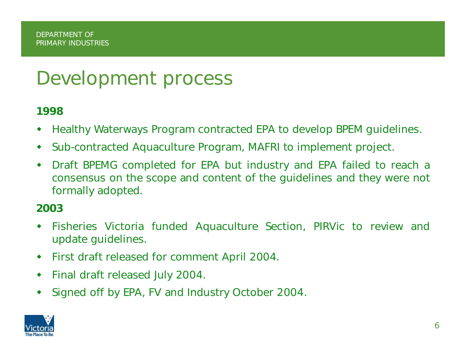## Development process

#### 1998

- $\bullet$ Healthy Waterways Program contracted EPA to develop BPEM guidelines.
- ۰ Sub-contracted Aquaculture Program, MAFRI to implement project.
- ◆ Draft BPEMG completed for EPA but industry and EPA failed to reach a consensus on the scope and content of the guidelines and they were not formally adopted.

#### 2003

- ◆ Fisheries Victoria funded Aquaculture Section, PIRVic to review and update guidelines.
- $\blacklozenge$ First draft released for comment April 2004.
- $\blacklozenge$ Final draft released July 2004.
- $\begin{array}{c} \bullet \\ \bullet \end{array}$ Signed off by EPA, FV and Industry October 2004.

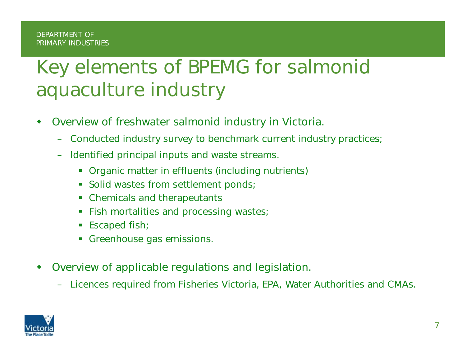# Key elements of BPEMG for salmonid aquaculture industry

- ◆ Overview of freshwater salmonid industry in Victoria.
	- –Conducted industry survey to benchmark current industry practices;
	- – Identified principal inputs and waste streams.
		- **Organic matter in effluents (including nutrients)**
		- **Solid wastes from settlement ponds;**
		- Chemicals and therapeutants
		- **Fish mortalities and processing wastes**;
		- Escaped fish;
		- П Greenhouse gas emissions.
- ◆ Overview of applicable regulations and legislation.
	- Licences required from Fisheries Victoria, EPA, Water Authorities and CMAs.

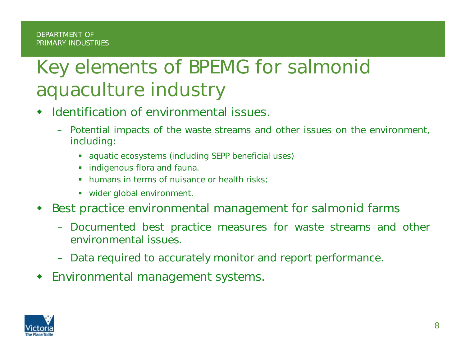# Key elements of BPEMG for salmonid aquaculture industry

- ◆ Identification of environmental issues.
	- Potential impacts of the waste streams and other issues on the environment, including:
		- **aquatic ecosystems (including SEPP beneficial uses)**
		- **Indigenous flora and fauna.**
		- Ш humans in terms of nuisance or health risks;
		- wider global environment.
- ♦ Best practice environmental management for salmonid farms
	- Documented best practice measures for waste streams and other environmental issues.
	- Data required to accurately monitor and report performance.
- ♦ Environmental management systems.

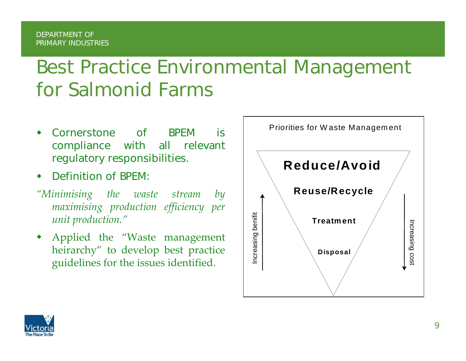## Best Practice Environmental Management for Salmonid Farms

- ◆ Cornerstone of BPEM is compliance with all relevant regulatory responsibilities.
- ◆ Definition of BPEM:
- *"Minimising the waste stream by maximising production efficiency per unit production."*
- ◆ Applied the "Waste managemen<sup>t</sup> heirarchy" to develop best practice guidelines for the issues identified.



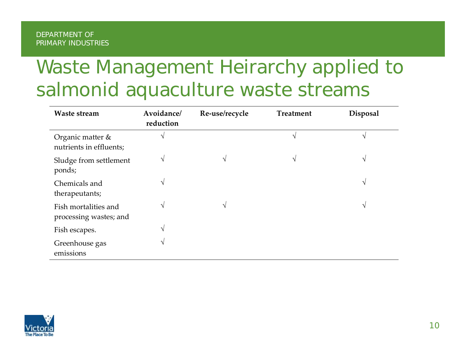# Waste Management Heirarchy applied to salmonid aquaculture waste streams

| <b>Waste stream</b>                            | Avoidance/<br>reduction | Re-use/recycle | <b>Treatment</b> | <b>Disposal</b> |
|------------------------------------------------|-------------------------|----------------|------------------|-----------------|
| Organic matter &<br>nutrients in effluents;    | V                       |                | V                |                 |
| Sludge from settlement<br>ponds;               | V                       | $\sqrt{ }$     | V                | $\mathcal{N}$   |
| Chemicals and<br>therapeutants;                | V                       |                |                  | $\mathcal{N}$   |
| Fish mortalities and<br>processing wastes; and | V                       | N              |                  | V               |
| Fish escapes.                                  | V                       |                |                  |                 |
| Greenhouse gas<br>emissions                    | V                       |                |                  |                 |

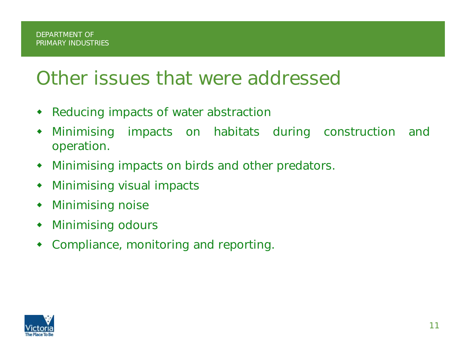### Other issues that were addressed

- ◆ Reducing impacts of water abstraction
- ♦ Minimising impacts on habitats during construction and operation.
- $\blacklozenge$ Minimising impacts on birds and other predators.
- $\begin{picture}(20,20) \put(0,0){\line(1,0){10}} \put(15,0){\line(1,0){10}} \put(15,0){\line(1,0){10}} \put(15,0){\line(1,0){10}} \put(15,0){\line(1,0){10}} \put(15,0){\line(1,0){10}} \put(15,0){\line(1,0){10}} \put(15,0){\line(1,0){10}} \put(15,0){\line(1,0){10}} \put(15,0){\line(1,0){10}} \put(15,0){\line(1,0){10}} \put(15,0){\line(1$ Minimising visual impacts
- $\blacklozenge$ Minimising noise
- $\blacklozenge$ Minimising odours
- $\begin{picture}(20,20) \put(0,0){\line(1,0){10}} \put(15,0){\line(1,0){10}} \put(15,0){\line(1,0){10}} \put(15,0){\line(1,0){10}} \put(15,0){\line(1,0){10}} \put(15,0){\line(1,0){10}} \put(15,0){\line(1,0){10}} \put(15,0){\line(1,0){10}} \put(15,0){\line(1,0){10}} \put(15,0){\line(1,0){10}} \put(15,0){\line(1,0){10}} \put(15,0){\line(1$ Compliance, monitoring and reporting.

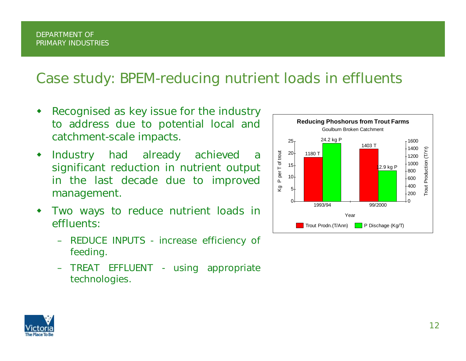- ◆ Recognised as key issue for the industry to address due to potential local and catchment-scale impacts.
- $\blacklozenge$  Industry had already achieved a significant reduction in nutrient output in the last decade due to improved management.
- $\blacklozenge$  Two ways to reduce nutrient loads in effluents:
	- REDUCE INPUTS increase efficiency of feeding.
	- TREAT EFFLUENT using appropriate technologies.



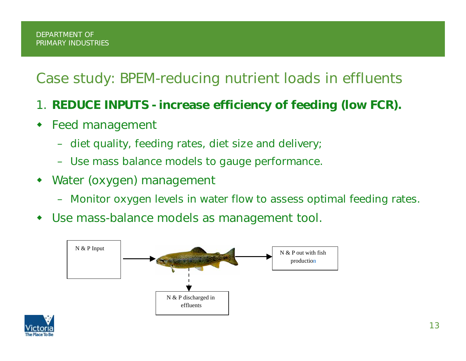- 1. REDUCE INPUTS increase efficiency of feeding (low FCR).
- Feed management
	- diet quality, feeding rates, diet size and delivery;
	- Use mass balance models to gauge performance.
- ♦ Water (oxygen) management
	- Monitor oxygen levels in water flow to assess optimal feeding rates.
- ◆ Use mass-balance models as management tool.



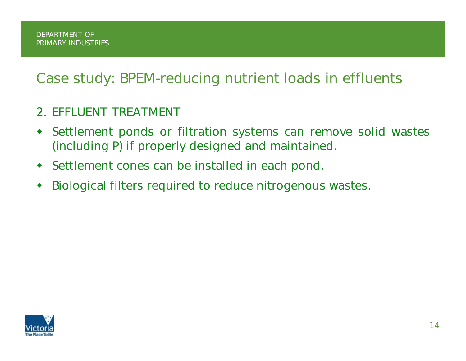#### 2. EFFLUENT TREATMENT

- ♦ Settlement ponds or filtration systems can remove solid wastes (including P) if properly designed and maintained.
- **•** Settlement cones can be installed in each pond.
- ◆ Biological filters required to reduce nitrogenous wastes.

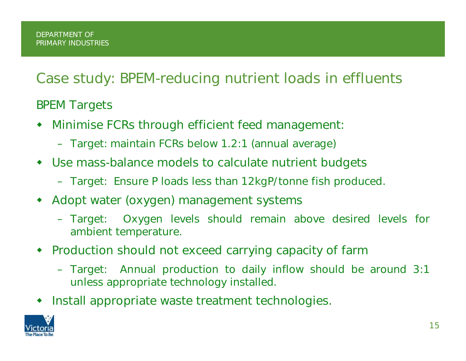#### BPEM Targets

- ♦ Minimise FCRs through efficient feed management:
	- Target: maintain FCRs below 1.2:1 (annual average)
- Use mass-balance models to calculate nutrient budgets
	- Target: Ensure P loads less than 12kgP/tonne fish produced.
- ◆ Adopt water (oxygen) management systems
	- Target: Oxygen levels should remain above desired levels for ambient temperature.
- Production should not exceed carrying capacity of farm
	- Target: Annual production to daily inflow should be around 3:1 unless appropriate technology installed.
- **Install appropriate waste treatment technologies.**